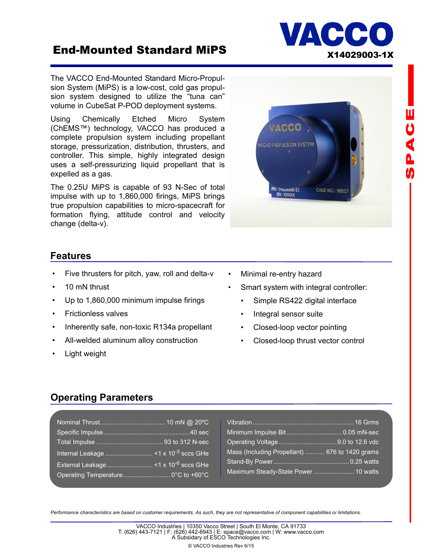# End-Mounted Standard MiPS X14029003-1X

The VACCO End-Mounted Standard Micro-Propulsion System (MiPS) is a low-cost, cold gas propulsion system designed to utilize the "tuna can" volume in CubeSat P-POD deployment systems.

Using Chemically Etched Micro System (ChEMS™) technology, VACCO has produced a complete propulsion system including propellant storage, pressurization, distribution, thrusters, and controller. This simple, highly integrated design uses a self-pressurizing liquid propellant that is expelled as a gas.

The 0.25U MiPS is capable of 93 N-Sec of total impulse with up to 1,860,000 firings, MiPS brings true propulsion capabilities to micro-spacecraft for formation flying, attitude control and velocity change (delta-v).



VACC

### **Features**

- Five thrusters for pitch, yaw, roll and delta-v
- 10 mN thrust
- Up to 1,860,000 minimum impulse firings
- Frictionless valves
- Inherently safe, non-toxic R134a propellant
- All-welded aluminum alloy construction
- Light weight
- Minimal re-entry hazard
- Smart system with integral controller:
	- Simple RS422 digital interface
	- Integral sensor suite
	- Closed-loop vector pointing
	- Closed-loop thrust vector control

### **Operating Parameters**

|                                    | Mass (Including Propellant)  676 to 1420 grams |
|------------------------------------|------------------------------------------------|
|                                    |                                                |
| Operating Temperature 0°C to +60°C | Maximum Steady-State Power  10 watts           |

*Performance characteristics are based on customer requirements. As such, they are not representative of component capabilities or limitations.*